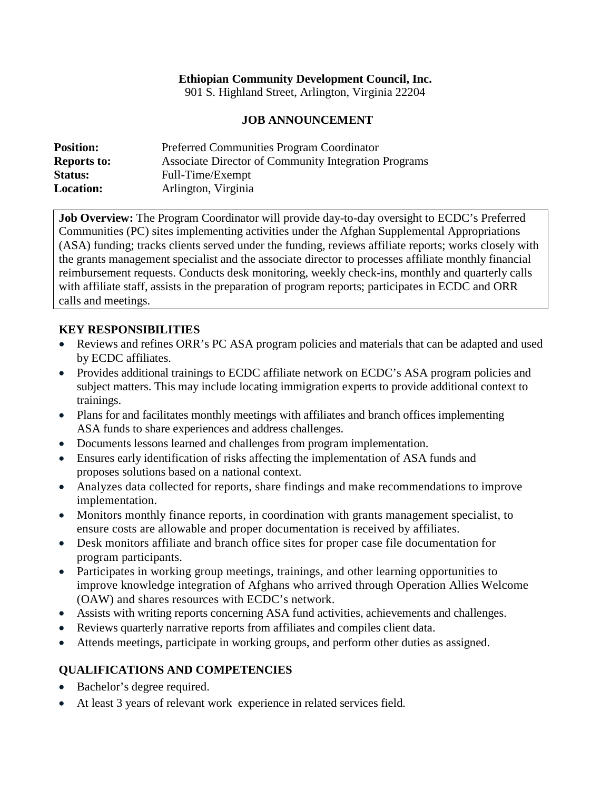### **Ethiopian Community Development Council, Inc.**

901 S. Highland Street, Arlington, Virginia 22204

#### **JOB ANNOUNCEMENT**

| <b>Position:</b>   | <b>Preferred Communities Program Coordinator</b>     |
|--------------------|------------------------------------------------------|
| <b>Reports to:</b> | Associate Director of Community Integration Programs |
| <b>Status:</b>     | Full-Time/Exempt                                     |
| <b>Location:</b>   | Arlington, Virginia                                  |

**Job Overview:** The Program Coordinator will provide day-to-day oversight to ECDC's Preferred Communities (PC) sites implementing activities under the Afghan Supplemental Appropriations (ASA) funding; tracks clients served under the funding, reviews affiliate reports; works closely with the grants management specialist and the associate director to processes affiliate monthly financial reimbursement requests. Conducts desk monitoring, weekly check-ins, monthly and quarterly calls with affiliate staff, assists in the preparation of program reports; participates in ECDC and ORR calls and meetings.

#### **KEY RESPONSIBILITIES**

- Reviews and refines ORR's PC ASA program policies and materials that can be adapted and used by ECDC affiliates.
- Provides additional trainings to ECDC affiliate network on ECDC's ASA program policies and subject matters. This may include locating immigration experts to provide additional context to trainings.
- Plans for and facilitates monthly meetings with affiliates and branch offices implementing ASA funds to share experiences and address challenges.
- Documents lessons learned and challenges from program implementation.
- Ensures early identification of risks affecting the implementation of ASA funds and proposes solutions based on a national context.
- Analyzes data collected for reports, share findings and make recommendations to improve implementation.
- Monitors monthly finance reports, in coordination with grants management specialist, to ensure costs are allowable and proper documentation is received by affiliates.
- Desk monitors affiliate and branch office sites for proper case file documentation for program participants.
- Participates in working group meetings, trainings, and other learning opportunities to improve knowledge integration of Afghans who arrived through Operation Allies Welcome (OAW) and shares resources with ECDC's network.
- Assists with writing reports concerning ASA fund activities, achievements and challenges.
- Reviews quarterly narrative reports from affiliates and compiles client data.
- Attends meetings, participate in working groups, and perform other duties as assigned.

## **QUALIFICATIONS AND COMPETENCIES**

- Bachelor's degree required.
- At least 3 years of relevant work experience in related services field.